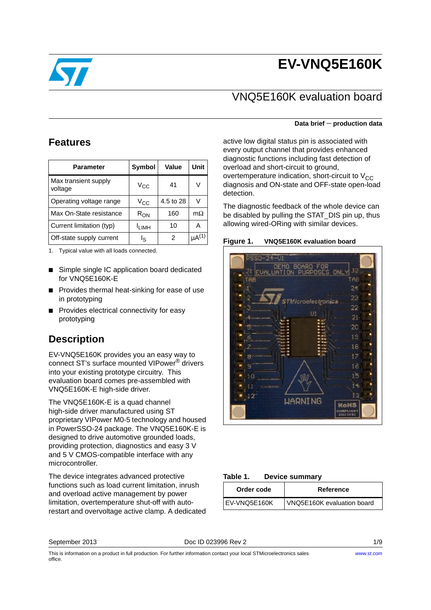# **EV-VNQ5E160K**



### VNQ5E160K evaluation board

#### **Features**

| <b>Parameter</b>                | Symbol            | Value     | Unit          |
|---------------------------------|-------------------|-----------|---------------|
| Max transient supply<br>voltage | V <sub>CC</sub>   | 41        | V             |
| Operating voltage range         | $\rm v_{cc}$      | 4.5 to 28 | v             |
| Max On-State resistance         | $R_{\rm ON}$      | 160       | $m\Omega$     |
| Current limitation (typ)        | <sup>I</sup> LIMH | 10        | А             |
| Off-state supply current        | اچ                | 2         | $\mu A^{(1)}$ |

1. Typical value with all loads connected.

- Simple single IC application board dedicated for VNQ5E160K-E
- Provides thermal heat-sinking for ease of use in prototyping
- Provides electrical connectivity for easy prototyping

### **Description**

EV-VNQ5E160K provides you an easy way to connect ST's surface mounted VIPower® drivers into your existing prototype circuitry. This evaluation board comes pre-assembled with VNQ5E160K-E high-side driver.

The VNQ5E160K-E is a quad channel high-side driver manufactured using ST proprietary VIPower M0-5 technology and housed in PowerSSO-24 package. The VNQ5E160K-E is designed to drive automotive grounded loads, providing protection, diagnostics and easy 3 V and 5 V CMOS-compatible interface with any microcontroller.

The device integrates advanced protective functions such as load current limitation, inrush and overload active management by power limitation, overtemperature shut-off with autorestart and overvoltage active clamp. A dedicated

#### **Data brief** − **production data**

active low digital status pin is associated with every output channel that provides enhanced diagnostic functions including fast detection of overload and short-circuit to ground, overtemperature indication, short-circuit to  $V_{CC}$ diagnosis and ON-state and OFF-state open-load detection.

The diagnostic feedback of the whole device can be disabled by pulling the STAT\_DIS pin up, thus allowing wired-ORing with similar devices.

**Figure 1. VNQ5E160K evaluation board**



#### Table 1. **Device summary**

| Order code   | Reference                  |
|--------------|----------------------------|
| EV-VNO5E160K | VNQ5E160K evaluation board |

September 2013 Doc ID 023996 Rev 2 1/9

*[www.st.com](http://www.st.com)*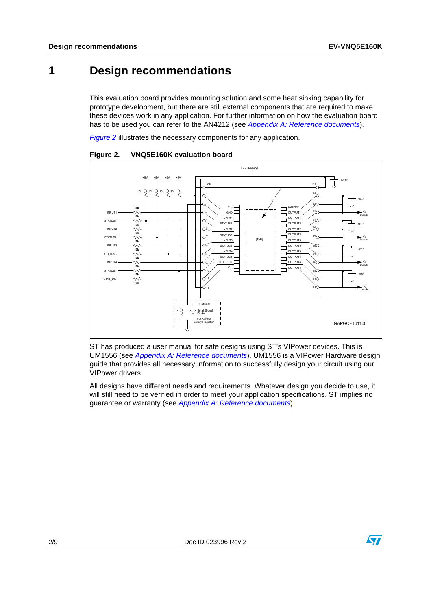### **1 Design recommendations**

This evaluation board provides mounting solution and some heat sinking capability for prototype development, but there are still external components that are required to make these devices work in any application. For further information on how the evaluation board has to be used you can refer to the AN4212 (see *[Appendix A: Reference documents](#page-6-0)*).

*[Figure 2](#page-1-0)* illustrates the necessary components for any application.



<span id="page-1-0"></span>**Figure 2. VNQ5E160K evaluation board**

ST has produced a user manual for safe designs using ST's VIPower devices. This is UM1556 (see *[Appendix A: Reference documents](#page-6-0)*). UM1556 is a VIPower Hardware design guide that provides all necessary information to successfully design your circuit using our VIPower drivers.

All designs have different needs and requirements. Whatever design you decide to use, it will still need to be verified in order to meet your application specifications. ST implies no guarantee or warranty (see *[Appendix A: Reference documents](#page-6-0)*).

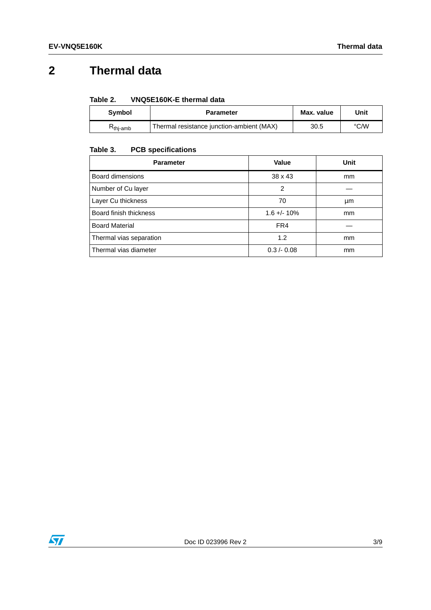## **2 Thermal data**

| Table 2. | VNQ5E160K-E thermal data |  |
|----------|--------------------------|--|
|          |                          |  |

| <b>Symbol</b> | <b>Parameter</b>                          | Max. value | Unit |
|---------------|-------------------------------------------|------------|------|
| ີ`thi-amb     | Thermal resistance junction-ambient (MAX) | 30.5       | °C/W |

#### Table 3. **PCB specifications**

| <b>Parameter</b>        | Value         | Unit |
|-------------------------|---------------|------|
| Board dimensions        | 38 x 43       | mm   |
| Number of Cu layer      | 2             |      |
| Layer Cu thickness      | 70            | μm   |
| Board finish thickness  | $1.6 + - 10%$ | mm   |
| <b>Board Material</b>   | FR4           |      |
| Thermal vias separation | 1.2           | mm   |
| Thermal vias diameter   | 0.3 / 0.08    | mm   |

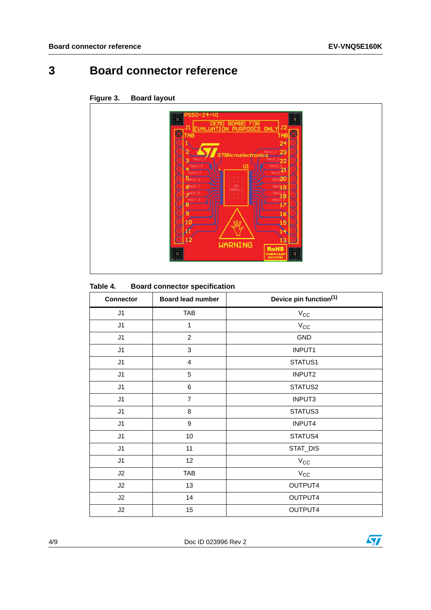## **3 Board connector reference**



#### **Figure 3. Board layout**

#### Table 4. **Board connector specification**

| <b>Connector</b> | <b>Board lead number</b> | Device pin function(1) |  |
|------------------|--------------------------|------------------------|--|
| J1               | <b>TAB</b>               | $V_{CC}$               |  |
| J1               | $\mathbf{1}$             | $V_{\rm CC}$           |  |
| J1               | $\mathbf{2}$             | GND                    |  |
| J1               | 3                        | INPUT1                 |  |
| J1               | $\overline{\mathbf{4}}$  | STATUS1                |  |
| J1               | 5                        | INPUT2                 |  |
| J1               | 6                        | STATUS2                |  |
| J1               | $\overline{7}$           | INPUT3                 |  |
| J1               | 8                        | STATUS3                |  |
| J1               | 9                        | <b>INPUT4</b>          |  |
| J1               | 10                       | STATUS4                |  |
| J1               | 11                       | STAT_DIS               |  |
| J1               | 12                       | $V_{CC}$               |  |
| J2               | <b>TAB</b>               | $V_{\rm CC}$           |  |
| J2               | 13                       | OUTPUT4                |  |
| J2               | 14                       | OUTPUT4                |  |
| J2               | 15                       | OUTPUT4                |  |

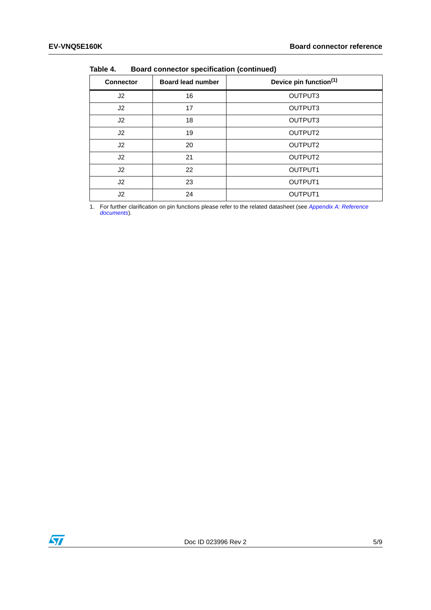| .                |                          |                                    |  |
|------------------|--------------------------|------------------------------------|--|
| <b>Connector</b> | <b>Board lead number</b> | Device pin function <sup>(1)</sup> |  |
| J <sub>2</sub>   | 16                       | OUTPUT3                            |  |
| J2               | 17                       | OUTPUT3                            |  |
| J2               | 18                       | OUTPUT3                            |  |
| J2               | 19                       | OUTPUT2                            |  |
| J2               | 20                       | OUTPUT2                            |  |
| J2               | 21                       | OUTPUT2                            |  |
| J2               | 22                       | OUTPUT <sub>1</sub>                |  |
| J <sub>2</sub>   | 23                       | OUTPUT <sub>1</sub>                |  |
| J2               | 24                       | OUTPUT1                            |  |

**Table 4. Board connector specification (continued)**

1. For further clarification on pin functions please refer to the related datasheet (see *[Appendix A: Reference](#page-6-0)  [documents](#page-6-0)*).

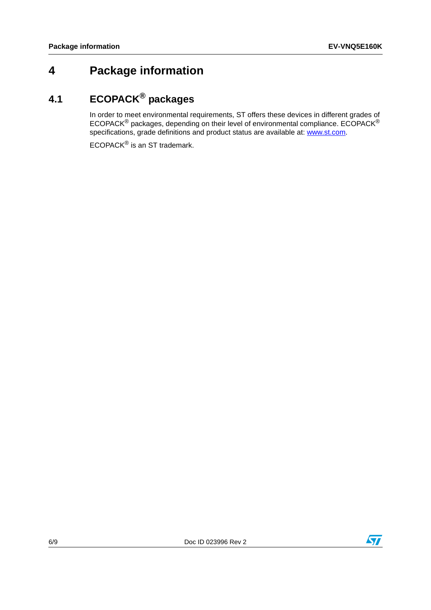## **4 Package information**

## **4.1 ECOPACK® packages**

In order to meet environmental requirements, ST offers these devices in different grades of ECOPACK® packages, depending on their level of environmental compliance. ECOPACK® specifications, grade definitions and product status are available at: www.st.com.

ECOPACK® is an ST trademark.

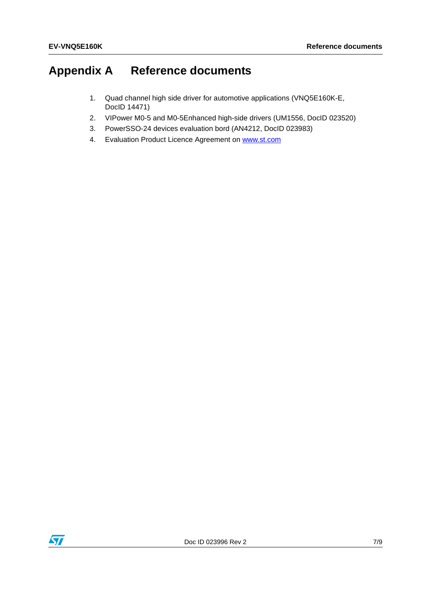## <span id="page-6-0"></span>**Appendix A Reference documents**

- 1. Quad channel high side driver for automotive applications (VNQ5E160K-E, DocID 14471)
- 2. VIPower M0-5 and M0-5Enhanced high-side drivers (UM1556, DocID 023520)
- 3. PowerSSO-24 devices evaluation bord (AN4212, DocID 023983)
- 4. Evaluation Product Licence Agreement on www.st.com

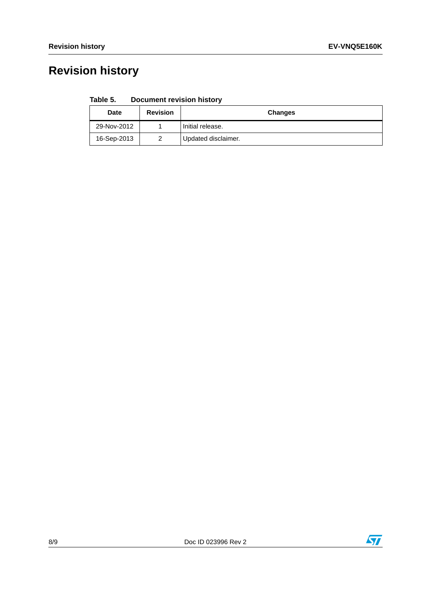# **Revision history**

| Table 5. | <b>Document revision history</b> |  |  |
|----------|----------------------------------|--|--|
|----------|----------------------------------|--|--|

| <b>Date</b> | <b>Revision</b> | <b>Changes</b>      |
|-------------|-----------------|---------------------|
| 29-Nov-2012 |                 | Initial release.    |
| 16-Sep-2013 |                 | Updated disclaimer. |



 $\overline{\mathbf{H}}$